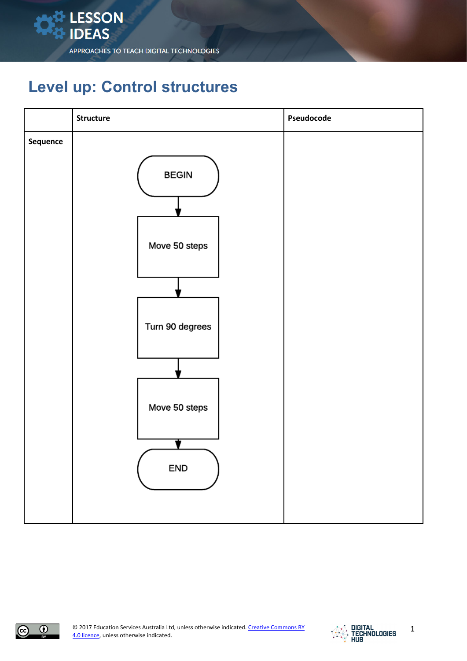

## **Level up: Control structures**

|          | Structure                                                                | Pseudocode |
|----------|--------------------------------------------------------------------------|------------|
| Sequence | <b>BEGIN</b><br>Move 50 steps<br>Turn 90 degrees<br>Move 50 steps<br>END |            |
|          |                                                                          |            |



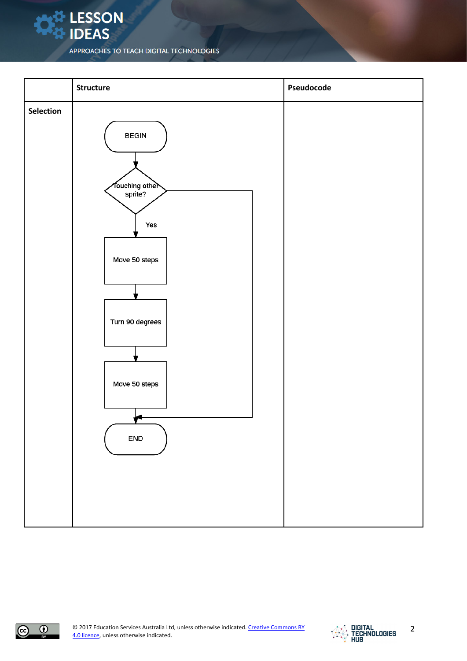**LESSON**<br>LIDEAS





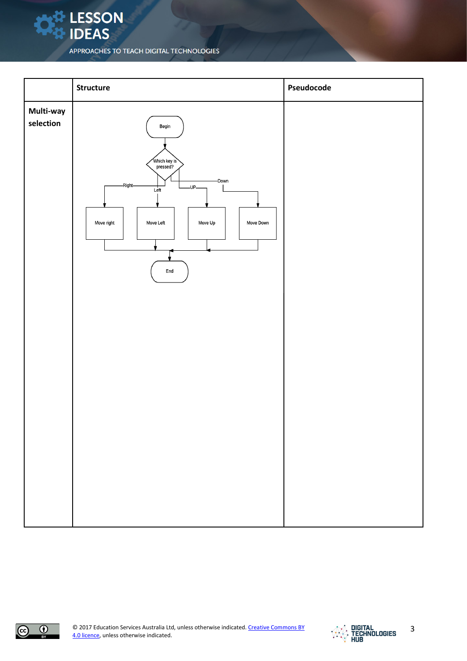**X** LESSON<br>X IDEAS

|                        | Structure                                                                                                                                                | Pseudocode |
|------------------------|----------------------------------------------------------------------------------------------------------------------------------------------------------|------------|
| Multi-way<br>selection | Begin<br>Which key is<br>pressed?<br>-Down<br>-Right-<br>$-UP$<br>Left<br>Move right<br>Move Left<br>Move Up<br>Move Down<br>$\ensuremath{\mathsf{End}}$ |            |



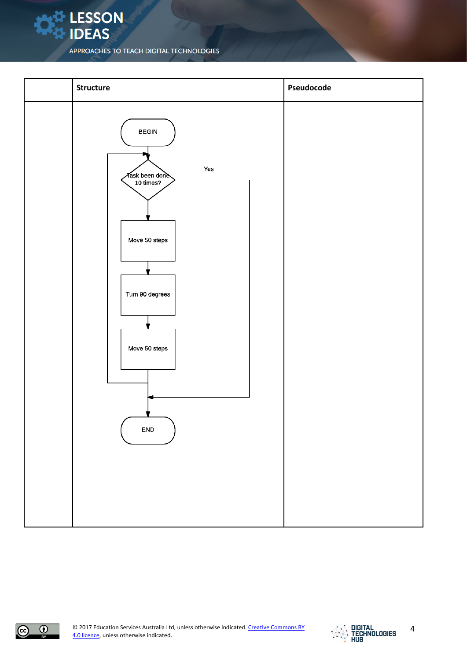





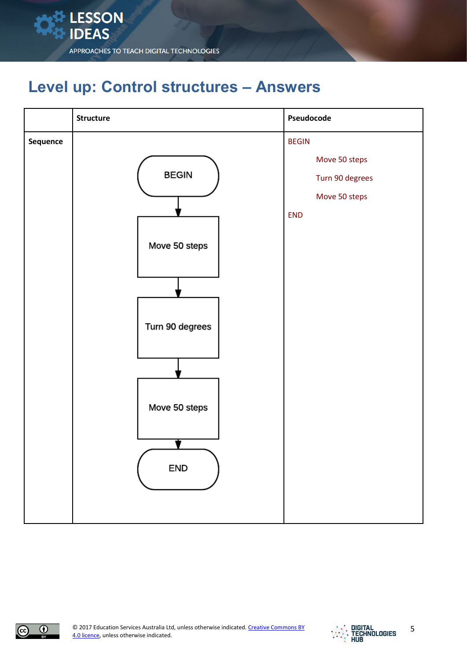

## **Level up: Control structures – Answers**

|          | Structure                                                                | Pseudocode                                                                      |
|----------|--------------------------------------------------------------------------|---------------------------------------------------------------------------------|
| Sequence | <b>BEGIN</b><br>Move 50 steps<br>Turn 90 degrees<br>Move 50 steps<br>END | <b>BEGIN</b><br>Move 50 steps<br>Turn 90 degrees<br>Move 50 steps<br><b>END</b> |



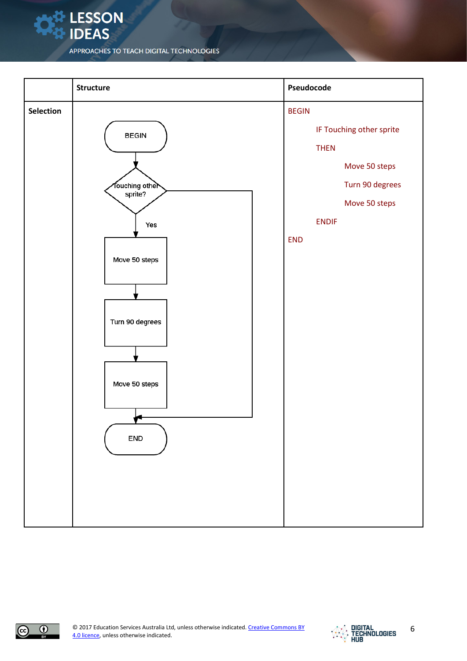**LESSON** 

**IDEAS** 





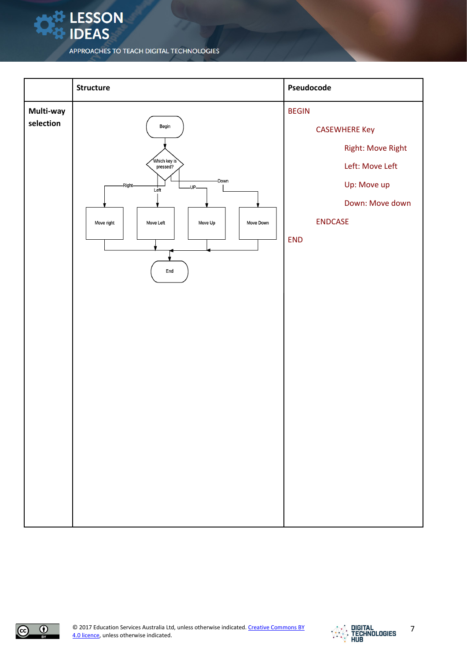**LESSON** 

**IDEAS**